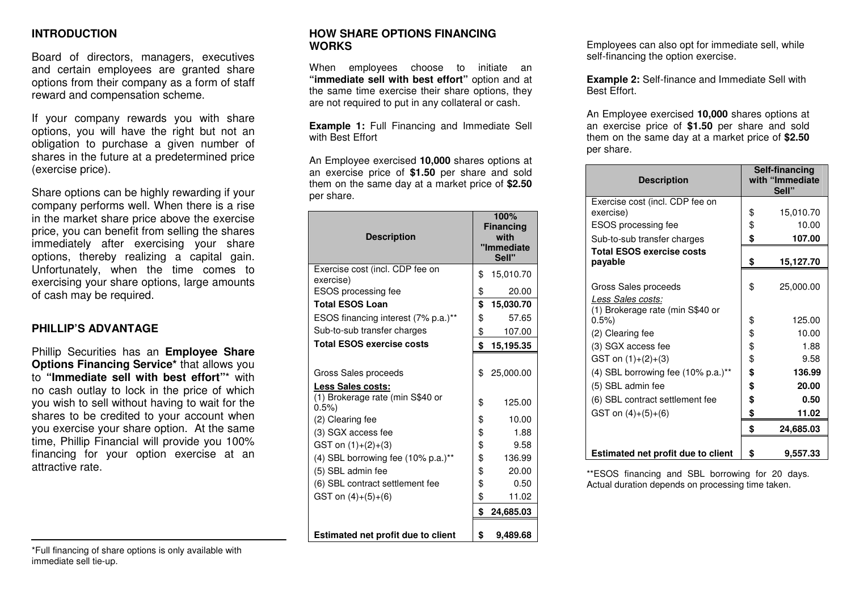### **INTRODUCTION**

Board of directors, managers, executives and certain employees are granted share options from their company as a form of staff reward and compensation scheme.

If your company rewards you with share options, you will have the right but not an obligation to purchase a given number of shares in the future at a predetermined price (exercise price).

Share options can be highly rewarding if your company performs well. When there is a rise in the market share price above the exercise price, you can benefit from selling the shares immediately after exercising your share options, thereby realizing a capital gain. Unfortunately, when the time comes to exercising your share options, large amounts of cash may be required.

### **PHILLIP'S ADVANTAGE**

Phillip Securities has an **Employee Share Options Financing Service\*** that allows you to **"Immediate sell with best effort"**\* with no cash outlay to lock in the price of which you wish to sell without having to wait for the shares to be credited to your account when you exercise your share option. At the same time, Phillip Financial will provide you 100% financing for your option exercise at an attractive rate.

\*Full financing of share options is only available with immediate sell tie-up.

### **HOW SHARE OPTIONS FINANCING WORKS**

When employees choose to initiate an **"immediate sell with best effort"** option and at the same time exercise their share options, they are not required to put in any collateral or cash.

**Example 1:** Full Financing and Immediate Sell with Best Effort

An Employee exercised **10,000** shares options at an exercise price of **\$1.50** per share and sold them on the same day at a market price of **\$2.50**per share.

| <b>Description</b>                              | 100%<br><b>Financing</b><br>with<br>'Immediate<br>Sell" |
|-------------------------------------------------|---------------------------------------------------------|
| Exercise cost (incl. CDP fee on<br>exercise)    | \$<br>15,010.70                                         |
| <b>ESOS</b> processing fee                      | \$<br>20.00                                             |
| <b>Total ESOS Loan</b>                          | \$<br>15,030.70                                         |
| ESOS financing interest (7% p.a.)**             | \$<br>57.65                                             |
| Sub-to-sub transfer charges                     | \$<br>107.00                                            |
| <b>Total ESOS exercise costs</b>                | \$<br>15,195.35                                         |
| Gross Sales proceeds<br>Less Sales costs:       | \$<br>25,000.00                                         |
| (1) Brokerage rate (min S\$40 or                | \$<br>125.00                                            |
| 0.5%<br>(2) Clearing fee                        | \$<br>10.00                                             |
| (3) SGX access fee                              | \$<br>1.88                                              |
| GST on $(1)+(2)+(3)$                            | \$<br>9.58                                              |
| $(4)$ SBL borrowing fee $(10\% \text{ p.a.})^*$ | \$<br>136.99                                            |
| (5) SBL admin fee                               | \$<br>20.00                                             |
| (6) SBL contract settlement fee                 | \$<br>0.50                                              |
| GST on $(4)+(5)+(6)$                            | \$<br>11.02                                             |
|                                                 | \$<br>24,685.03                                         |
| <b>Estimated net profit due to client</b>       | \$<br>9.489.68                                          |

Employees can also opt for immediate sell, while self-financing the option exercise.

**Example 2:** Self-finance and Immediate Sell with Best Effort.

An Employee exercised **10,000** shares options at an exercise price of **\$1.50** per share and sold them on the same day at a market price of **\$2.50**per share.

| <b>Description</b>                                                            | Self-financing<br>with "Immediate<br>Sell" |
|-------------------------------------------------------------------------------|--------------------------------------------|
| Exercise cost (incl. CDP fee on<br>exercise)                                  | \$<br>15,010.70                            |
| ESOS processing fee                                                           | \$<br>10.00                                |
| Sub-to-sub transfer charges                                                   | \$<br>107.00                               |
| <b>Total ESOS exercise costs</b><br>payable                                   | \$<br>15,127.70                            |
| Gross Sales proceeds<br>Less Sales costs:<br>(1) Brokerage rate (min S\$40 or | \$<br>25,000.00                            |
| 0.5%                                                                          | \$<br>125.00                               |
| (2) Clearing fee                                                              | \$<br>10.00                                |
| (3) SGX access fee                                                            | \$<br>1.88                                 |
| GST on $(1)+(2)+(3)$                                                          | \$<br>9.58                                 |
| (4) SBL borrowing fee $(10\% \text{ p.a.})^*$                                 | \$<br>136.99                               |
| (5) SBL admin fee                                                             | \$<br>20.00                                |
| (6) SBL contract settlement fee                                               | \$<br>0.50                                 |
| GST on $(4)+(5)+(6)$                                                          | \$<br>11.02                                |
|                                                                               | \$<br>24,685.03                            |
| Estimated net profit due to client                                            | \$<br>9,557.33                             |

\*\*ESOS financing and SBL borrowing for 20 days. Actual duration depends on processing time taken.